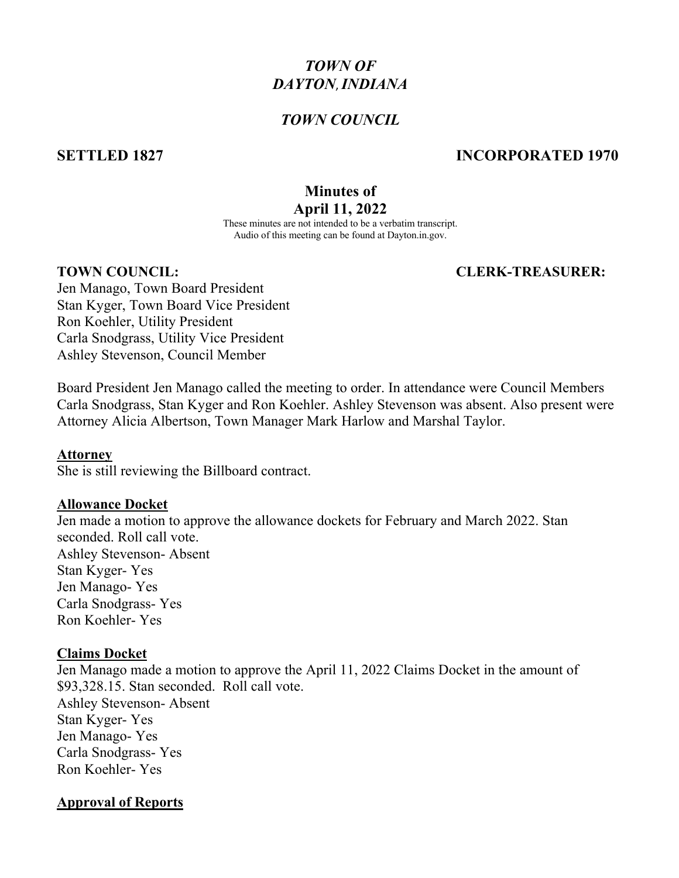# *TOWN OF DAYTON*,*INDIANA*

#### *TOWN COUNCIL*

### **SETTLED 1827 INCORPORATED 1970**

### **Minutes of April 11, 2022**

These minutes are not intended to be a verbatim transcript. Audio of this meeting can be found at Dayton.in.gov.

#### **TOWN COUNCIL: CLERK-TREASURER:**

Jen Manago, Town Board President Stan Kyger, Town Board Vice President Ron Koehler, Utility President Carla Snodgrass, Utility Vice President Ashley Stevenson, Council Member

Board President Jen Manago called the meeting to order. In attendance were Council Members Carla Snodgrass, Stan Kyger and Ron Koehler. Ashley Stevenson was absent. Also present were Attorney Alicia Albertson, Town Manager Mark Harlow and Marshal Taylor.

#### **Attorney**

She is still reviewing the Billboard contract.

#### **Allowance Docket**

Jen made a motion to approve the allowance dockets for February and March 2022. Stan seconded. Roll call vote. Ashley Stevenson- Absent Stan Kyger- Yes Jen Manago- Yes Carla Snodgrass- Yes Ron Koehler- Yes

#### **Claims Docket**

Jen Manago made a motion to approve the April 11, 2022 Claims Docket in the amount of \$93,328.15. Stan seconded. Roll call vote. Ashley Stevenson- Absent Stan Kyger- Yes Jen Manago- Yes Carla Snodgrass- Yes Ron Koehler- Yes

#### **Approval of Reports**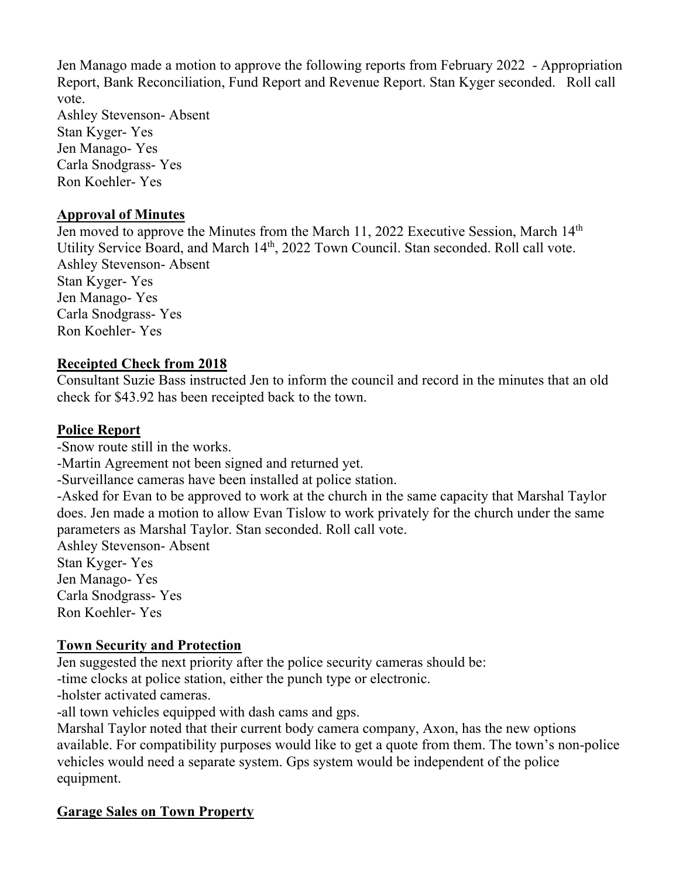Jen Manago made a motion to approve the following reports from February 2022 - Appropriation Report, Bank Reconciliation, Fund Report and Revenue Report. Stan Kyger seconded. Roll call vote.

Ashley Stevenson- Absent Stan Kyger- Yes Jen Manago- Yes Carla Snodgrass- Yes Ron Koehler- Yes

#### **Approval of Minutes**

Jen moved to approve the Minutes from the March 11, 2022 Executive Session, March 14<sup>th</sup> Utility Service Board, and March 14<sup>th</sup>, 2022 Town Council. Stan seconded. Roll call vote. Ashley Stevenson- Absent Stan Kyger- Yes Jen Manago- Yes Carla Snodgrass- Yes Ron Koehler- Yes

### **Receipted Check from 2018**

Consultant Suzie Bass instructed Jen to inform the council and record in the minutes that an old check for \$43.92 has been receipted back to the town.

### **Police Report**

-Snow route still in the works.

-Martin Agreement not been signed and returned yet.

-Surveillance cameras have been installed at police station.

-Asked for Evan to be approved to work at the church in the same capacity that Marshal Taylor does. Jen made a motion to allow Evan Tislow to work privately for the church under the same parameters as Marshal Taylor. Stan seconded. Roll call vote.

Ashley Stevenson- Absent Stan Kyger- Yes Jen Manago- Yes

Carla Snodgrass- Yes Ron Koehler- Yes

## **Town Security and Protection**

Jen suggested the next priority after the police security cameras should be:

-time clocks at police station, either the punch type or electronic.

-holster activated cameras.

-all town vehicles equipped with dash cams and gps.

Marshal Taylor noted that their current body camera company, Axon, has the new options available. For compatibility purposes would like to get a quote from them. The town's non-police vehicles would need a separate system. Gps system would be independent of the police equipment.

## **Garage Sales on Town Property**